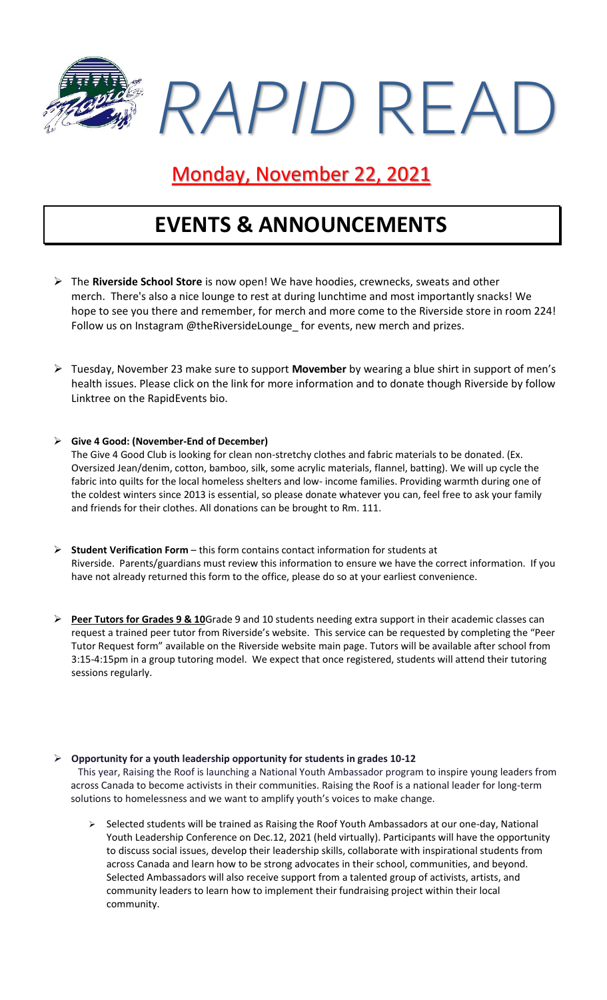

### Monday, November 22, 2021

### **EVENTS & ANNOUNCEMENTS**

- ➢ The **Riverside School Store** is now open! We have hoodies, crewnecks, sweats and other merch. There's also a nice lounge to rest at during lunchtime and most importantly snacks! We hope to see you there and remember, for merch and more come to the Riverside store in room 224! Follow us on Instagram @theRiversideLounge for events, new merch and prizes.
- ➢ Tuesday, November 23 make sure to support **Movember** by wearing a blue shirt in support of men's health issues. Please click on the link for more information and to donate though Riverside by follow Linktree on the RapidEvents bio.

#### ➢ **Give 4 Good: (November-End of December)**

The Give 4 Good Club is looking for clean non-stretchy clothes and fabric materials to be donated. (Ex. Oversized Jean/denim, cotton, bamboo, silk, some acrylic materials, flannel, batting). We will up cycle the fabric into quilts for the local homeless shelters and low- income families. Providing warmth during one of the coldest winters since 2013 is essential, so please donate whatever you can, feel free to ask your family and friends for their clothes. All donations can be brought to Rm. 111.

- ➢ **Student Verification Form** this form contains contact information for students at Riverside. Parents/guardians must review this information to ensure we have the correct information. If you have not already returned this form to the office, please do so at your earliest convenience.
- ➢ **Peer Tutors for Grades 9 & 10**Grade 9 and 10 students needing extra support in their academic classes can request a trained peer tutor from Riverside's website. This service can be requested by completing the "Peer Tutor Request form" available on the Riverside website main page. Tutors will be available after school from 3:15-4:15pm in a group tutoring model. We expect that once registered, students will attend their tutoring sessions regularly.

#### ➢ **Opportunity for a youth leadership opportunity for students in grades 10-12**

This year, Raising the Roof is launching a National Youth Ambassador program to inspire young leaders from across Canada to become activists in their communities. Raising the Roof is a national leader for long-term solutions to homelessness and we want to amplify youth's voices to make change.

Selected students will be trained as Raising the Roof Youth Ambassadors at our one-day, National Youth Leadership Conference on Dec.12, 2021 (held virtually). Participants will have the opportunity to discuss social issues, develop their leadership skills, collaborate with inspirational students from across Canada and learn how to be strong advocates in their school, communities, and beyond. Selected Ambassadors will also receive support from a talented group of activists, artists, and community leaders to learn how to implement their fundraising project within their local community.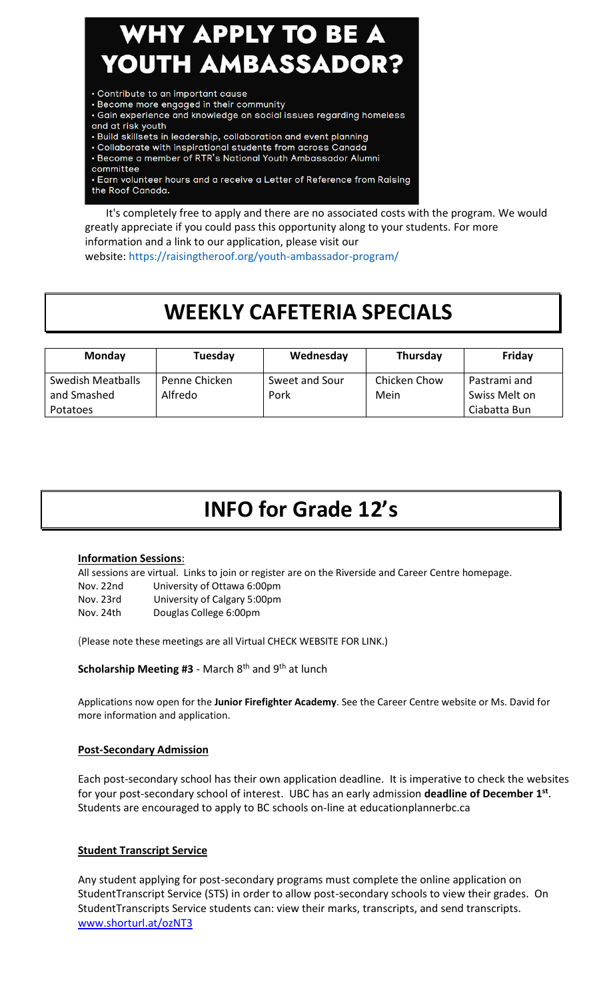# WHY APPLY TO BE A YOUTH AMBASSADOR?

- Contribute to an important cause
- · Become more engaged in their community
- · Gain experience and knowledge on social issues regarding homeless and at risk youth
- · Build skillsets in leadership, collaboration and event planning
- Collaborate with inspirational students from across Canada
- . Become a member of RTR's National Youth Ambassador Alumni
- committee
- Earn volunteer hours and a receive a Letter of Reference from Raising the Roof Canada.

It's completely free to apply and there are no associated costs with the program. We would greatly appreciate if you could pass this opportunity along to your students. For more information and a link to our application, please visit our website: <https://raisingtheroof.org/youth-ambassador-program/>

### **WEEKLY CAFETERIA SPECIALS**

| <b>Monday</b>                    | Tuesday                  | Wednesday              | Thursday             | Friday                        |
|----------------------------------|--------------------------|------------------------|----------------------|-------------------------------|
| Swedish Meatballs<br>and Smashed | Penne Chicken<br>Alfredo | Sweet and Sour<br>Pork | Chicken Chow<br>Mein | Pastrami and<br>Swiss Melt on |
| Potatoes                         |                          |                        |                      | Ciabatta Bun                  |

### **INFO for Grade 12's**

#### **Information Sessions**:

All sessions are virtual. Links to join or register are on the Riverside and Career Centre homepage. Nov. 22nd University of Ottawa 6:00pm Nov. 23rd University of Calgary 5:00pm Nov. 24th Douglas College 6:00pm

(Please note these meetings are all Virtual CHECK WEBSITE FOR LINK.)

**Scholarship Meeting #3** - March 8<sup>th</sup> and 9<sup>th</sup> at lunch

Applications now open for the **Junior Firefighter Academy**. See the Career Centre website or Ms. David for more information and application.

#### **Post-Secondary Admission**

Each post-secondary school has their own application deadline. It is imperative to check the websites for your post-secondary school of interest. UBC has an early admission **deadline of December 1st** . Students are encouraged to apply to BC schools on-line at educationplannerbc.ca

#### **Student Transcript Service**

Any student applying for post-secondary programs must complete the online application on StudentTranscript Service (STS) in order to allow post-secondary schools to view their grades. On StudentTranscripts Service students can: view their marks, transcripts, and send transcripts. [www.shorturl.at/ozNT3](http://www.shorturl.at/ozNT3)